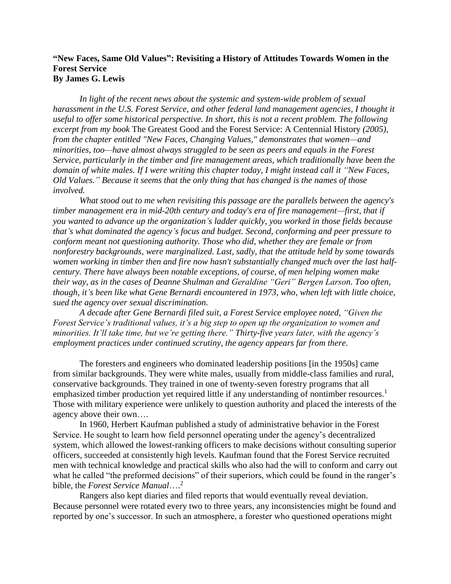# **"New Faces, Same Old Values": Revisiting a History of Attitudes Towards Women in the Forest Service By James G. Lewis**

*In light of the recent news about the systemic and system-wide problem of sexual harassment in the U.S. Forest Service, and other federal land management agencies, I thought it useful to offer some historical perspective. In short, this is not a recent problem. The following excerpt from my book* The Greatest Good and the Forest Service: A Centennial History *(2005), from the chapter entitled "New Faces, Changing Values," demonstrates that women—and minorities, too—have almost always struggled to be seen as peers and equals in the Forest Service, particularly in the timber and fire management areas, which traditionally have been the domain of white males. If I were writing this chapter today, I might instead call it "New Faces, Old Values." Because it seems that the only thing that has changed is the names of those involved.*

*What stood out to me when revisiting this passage are the parallels between the agency's timber management era in mid-20th century and today's era of fire management—first, that if you wanted to advance up the organization's ladder quickly, you worked in those fields because that's what dominated the agency's focus and budget. Second, conforming and peer pressure to conform meant not questioning authority. Those who did, whether they are female or from nonforestry backgrounds, were marginalized. Last, sadly, that the attitude held by some towards women working in timber then and fire now hasn't substantially changed much over the last halfcentury. There have always been notable exceptions, of course, of men helping women make their way, as in the cases of Deanne Shulman and Geraldine "Geri" Bergen Larson. Too often, though, it's been like what Gene Bernardi encountered in 1973, who, when left with little choice, sued the agency over sexual discrimination.*

*A decade after Gene Bernardi filed suit, a Forest Service employee noted, "Given the Forest Service's traditional values, it's a big step to open up the organization to women and minorities. It'll take time, but we're getting there." Thirty-five years later, with the agency's employment practices under continued scrutiny, the agency appears far from there.*

The foresters and engineers who dominated leadership positions [in the 1950s] came from similar backgrounds. They were white males, usually from middle-class families and rural, conservative backgrounds. They trained in one of twenty-seven forestry programs that all emphasized timber production yet required little if any understanding of nontimber resources.<sup>1</sup> Those with military experience were unlikely to question authority and placed the interests of the agency above their own….

In 1960, Herbert Kaufman published a study of administrative behavior in the Forest Service. He sought to learn how field personnel operating under the agency's decentralized system, which allowed the lowest-ranking officers to make decisions without consulting superior officers, succeeded at consistently high levels. Kaufman found that the Forest Service recruited men with technical knowledge and practical skills who also had the will to conform and carry out what he called "the preformed decisions" of their superiors, which could be found in the ranger's bible, the *Forest Service Manual*…. 2

Rangers also kept diaries and filed reports that would eventually reveal deviation. Because personnel were rotated every two to three years, any inconsistencies might be found and reported by one's successor. In such an atmosphere, a forester who questioned operations might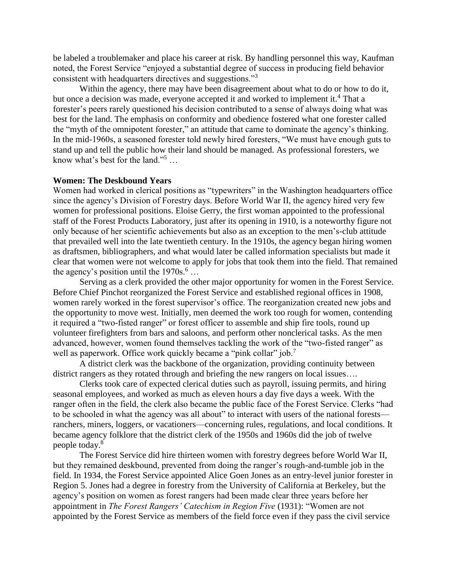be labeled a troublemaker and place his career at risk. By handling personnel this way, Kaufman noted, the Forest Service "enjoyed a substantial degree of success in producing field behavior consistent with headquarters directives and suggestions."<sup>3</sup>

Within the agency, there may have been disagreement about what to do or how to do it, but once a decision was made, everyone accepted it and worked to implement it.<sup>4</sup> That a forester's peers rarely questioned his decision contributed to a sense of always doing what was best for the land. The emphasis on conformity and obedience fostered what one forester called the "myth of the omnipotent forester," an attitude that came to dominate the agency's thinking. In the mid-1960s, a seasoned forester told newly hired foresters, "We must have enough guts to stand up and tell the public how their land should be managed. As professional foresters, we know what's best for the land."<sup>5</sup> …

#### **Women: The Deskbound Years**

Women had worked in clerical positions as "typewriters" in the Washington headquarters office since the agency's Division of Forestry days. Before World War II, the agency hired very few women for professional positions. Eloise Gerry, the first woman appointed to the professional staff of the Forest Products Laboratory, just after its opening in 1910, is a noteworthy figure not only because of her scientific achievements but also as an exception to the men's-club attitude that prevailed well into the late twentieth century. In the 1910s, the agency began hiring women as draftsmen, bibliographers, and what would later be called information specialists but made it clear that women were not welcome to apply for jobs that took them into the field. That remained the agency's position until the  $1970s$ .<sup>6</sup> ...

Serving as a clerk provided the other major opportunity for women in the Forest Service. Before Chief Pinchot reorganized the Forest Service and established regional offices in 1908, women rarely worked in the forest supervisor's office. The reorganization created new jobs and the opportunity to move west. Initially, men deemed the work too rough for women, contending it required a "two-fisted ranger" or forest officer to assemble and ship fire tools, round up volunteer firefighters from bars and saloons, and perform other nonclerical tasks. As the men advanced, however, women found themselves tackling the work of the "two-fisted ranger" as well as paperwork. Office work quickly became a "pink collar" job.<sup>7</sup>

A district clerk was the backbone of the organization, providing continuity between district rangers as they rotated through and briefing the new rangers on local issues….

Clerks took care of expected clerical duties such as payroll, issuing permits, and hiring seasonal employees, and worked as much as eleven hours a day five days a week. With the ranger often in the field, the clerk also became the public face of the Forest Service. Clerks "had to be schooled in what the agency was all about" to interact with users of the national forests ranchers, miners, loggers, or vacationers—concerning rules, regulations, and local conditions. It became agency folklore that the district clerk of the 1950s and 1960s did the job of twelve people today.<sup>8</sup>

The Forest Service did hire thirteen women with forestry degrees before World War II, but they remained deskbound, prevented from doing the ranger's rough-and-tumble job in the field. In 1934, the Forest Service appointed Alice Goen Jones as an entry-level junior forester in Region 5. Jones had a degree in forestry from the University of California at Berkeley, but the agency's position on women as forest rangers had been made clear three years before her appointment in *The Forest Rangers' Catechism in Region Five* (1931): "Women are not appointed by the Forest Service as members of the field force even if they pass the civil service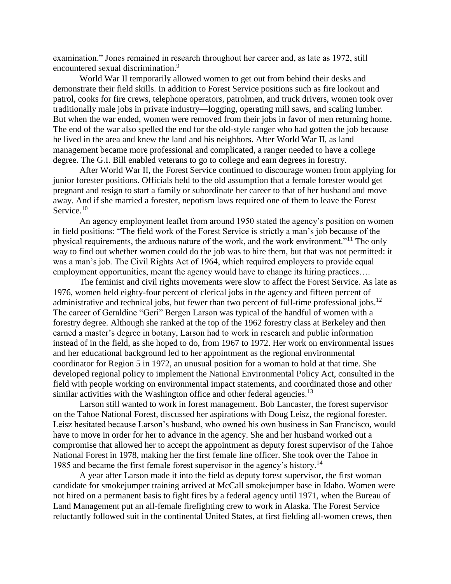examination." Jones remained in research throughout her career and, as late as 1972, still encountered sexual discrimination.<sup>9</sup>

World War II temporarily allowed women to get out from behind their desks and demonstrate their field skills. In addition to Forest Service positions such as fire lookout and patrol, cooks for fire crews, telephone operators, patrolmen, and truck drivers, women took over traditionally male jobs in private industry—logging, operating mill saws, and scaling lumber. But when the war ended, women were removed from their jobs in favor of men returning home. The end of the war also spelled the end for the old-style ranger who had gotten the job because he lived in the area and knew the land and his neighbors. After World War II, as land management became more professional and complicated, a ranger needed to have a college degree. The G.I. Bill enabled veterans to go to college and earn degrees in forestry.

After World War II, the Forest Service continued to discourage women from applying for junior forester positions. Officials held to the old assumption that a female forester would get pregnant and resign to start a family or subordinate her career to that of her husband and move away. And if she married a forester, nepotism laws required one of them to leave the Forest Service.<sup>10</sup>

An agency employment leaflet from around 1950 stated the agency's position on women in field positions: "The field work of the Forest Service is strictly a man's job because of the physical requirements, the arduous nature of the work, and the work environment."<sup>11</sup> The only way to find out whether women could do the job was to hire them, but that was not permitted: it was a man's job. The Civil Rights Act of 1964, which required employers to provide equal employment opportunities, meant the agency would have to change its hiring practices...

The feminist and civil rights movements were slow to affect the Forest Service. As late as 1976, women held eighty-four percent of clerical jobs in the agency and fifteen percent of administrative and technical jobs, but fewer than two percent of full-time professional jobs.<sup>12</sup> The career of Geraldine "Geri" Bergen Larson was typical of the handful of women with a forestry degree. Although she ranked at the top of the 1962 forestry class at Berkeley and then earned a master's degree in botany, Larson had to work in research and public information instead of in the field, as she hoped to do, from 1967 to 1972. Her work on environmental issues and her educational background led to her appointment as the regional environmental coordinator for Region 5 in 1972, an unusual position for a woman to hold at that time. She developed regional policy to implement the National Environmental Policy Act, consulted in the field with people working on environmental impact statements, and coordinated those and other similar activities with the Washington office and other federal agencies.<sup>13</sup>

Larson still wanted to work in forest management. Bob Lancaster, the forest supervisor on the Tahoe National Forest, discussed her aspirations with Doug Leisz, the regional forester. Leisz hesitated because Larson's husband, who owned his own business in San Francisco, would have to move in order for her to advance in the agency. She and her husband worked out a compromise that allowed her to accept the appointment as deputy forest supervisor of the Tahoe National Forest in 1978, making her the first female line officer. She took over the Tahoe in 1985 and became the first female forest supervisor in the agency's history.<sup>14</sup>

A year after Larson made it into the field as deputy forest supervisor, the first woman candidate for smokejumper training arrived at McCall smokejumper base in Idaho. Women were not hired on a permanent basis to fight fires by a federal agency until 1971, when the Bureau of Land Management put an all-female firefighting crew to work in Alaska. The Forest Service reluctantly followed suit in the continental United States, at first fielding all-women crews, then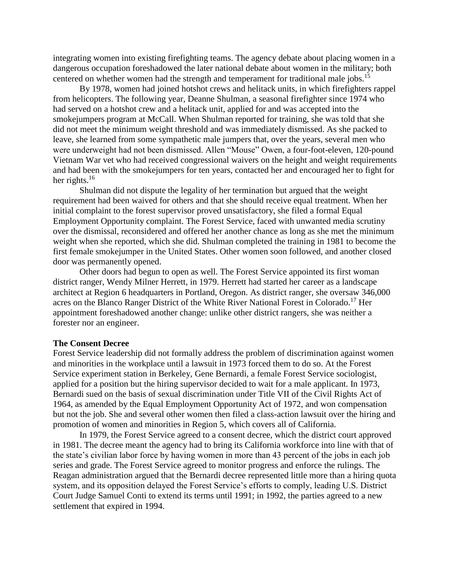integrating women into existing firefighting teams. The agency debate about placing women in a dangerous occupation foreshadowed the later national debate about women in the military; both centered on whether women had the strength and temperament for traditional male jobs.<sup>15</sup>

By 1978, women had joined hotshot crews and helitack units, in which firefighters rappel from helicopters. The following year, Deanne Shulman, a seasonal firefighter since 1974 who had served on a hotshot crew and a helitack unit, applied for and was accepted into the smokejumpers program at McCall. When Shulman reported for training, she was told that she did not meet the minimum weight threshold and was immediately dismissed. As she packed to leave, she learned from some sympathetic male jumpers that, over the years, several men who were underweight had not been dismissed. Allen "Mouse" Owen, a four-foot-eleven, 120-pound Vietnam War vet who had received congressional waivers on the height and weight requirements and had been with the smokejumpers for ten years, contacted her and encouraged her to fight for her rights. $16$ 

Shulman did not dispute the legality of her termination but argued that the weight requirement had been waived for others and that she should receive equal treatment. When her initial complaint to the forest supervisor proved unsatisfactory, she filed a formal Equal Employment Opportunity complaint. The Forest Service, faced with unwanted media scrutiny over the dismissal, reconsidered and offered her another chance as long as she met the minimum weight when she reported, which she did. Shulman completed the training in 1981 to become the first female smokejumper in the United States. Other women soon followed, and another closed door was permanently opened.

Other doors had begun to open as well. The Forest Service appointed its first woman district ranger, Wendy Milner Herrett, in 1979. Herrett had started her career as a landscape architect at Region 6 headquarters in Portland, Oregon. As district ranger, she oversaw 346,000 acres on the Blanco Ranger District of the White River National Forest in Colorado.<sup>17</sup> Her appointment foreshadowed another change: unlike other district rangers, she was neither a forester nor an engineer.

#### **The Consent Decree**

Forest Service leadership did not formally address the problem of discrimination against women and minorities in the workplace until a lawsuit in 1973 forced them to do so. At the Forest Service experiment station in Berkeley, Gene Bernardi, a female Forest Service sociologist, applied for a position but the hiring supervisor decided to wait for a male applicant. In 1973, Bernardi sued on the basis of sexual discrimination under Title VII of the Civil Rights Act of 1964, as amended by the Equal Employment Opportunity Act of 1972, and won compensation but not the job. She and several other women then filed a class-action lawsuit over the hiring and promotion of women and minorities in Region 5, which covers all of California.

In 1979, the Forest Service agreed to a consent decree, which the district court approved in 1981. The decree meant the agency had to bring its California workforce into line with that of the state's civilian labor force by having women in more than 43 percent of the jobs in each job series and grade. The Forest Service agreed to monitor progress and enforce the rulings. The Reagan administration argued that the Bernardi decree represented little more than a hiring quota system, and its opposition delayed the Forest Service's efforts to comply, leading U.S. District Court Judge Samuel Conti to extend its terms until 1991; in 1992, the parties agreed to a new settlement that expired in 1994.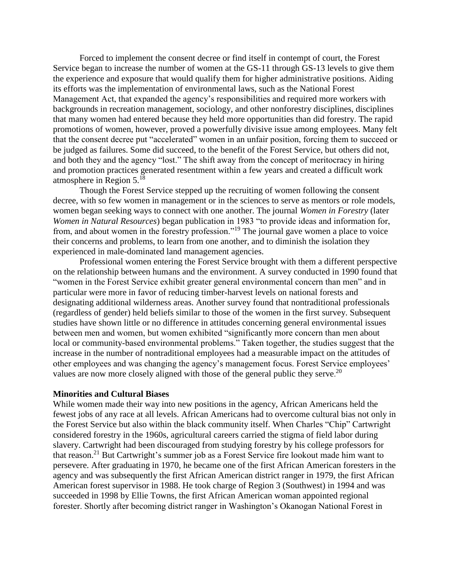Forced to implement the consent decree or find itself in contempt of court, the Forest Service began to increase the number of women at the GS-11 through GS-13 levels to give them the experience and exposure that would qualify them for higher administrative positions. Aiding its efforts was the implementation of environmental laws, such as the National Forest Management Act, that expanded the agency's responsibilities and required more workers with backgrounds in recreation management, sociology, and other nonforestry disciplines, disciplines that many women had entered because they held more opportunities than did forestry. The rapid promotions of women, however, proved a powerfully divisive issue among employees. Many felt that the consent decree put "accelerated" women in an unfair position, forcing them to succeed or be judged as failures. Some did succeed, to the benefit of the Forest Service, but others did not, and both they and the agency "lost." The shift away from the concept of meritocracy in hiring and promotion practices generated resentment within a few years and created a difficult work atmosphere in Region  $5.^{18}$ 

Though the Forest Service stepped up the recruiting of women following the consent decree, with so few women in management or in the sciences to serve as mentors or role models, women began seeking ways to connect with one another. The journal *Women in Forestry* (later *Women in Natural Resources*) began publication in 1983 "to provide ideas and information for, from, and about women in the forestry profession."<sup>19</sup> The journal gave women a place to voice their concerns and problems, to learn from one another, and to diminish the isolation they experienced in male-dominated land management agencies.

Professional women entering the Forest Service brought with them a different perspective on the relationship between humans and the environment. A survey conducted in 1990 found that "women in the Forest Service exhibit greater general environmental concern than men" and in particular were more in favor of reducing timber-harvest levels on national forests and designating additional wilderness areas. Another survey found that nontraditional professionals (regardless of gender) held beliefs similar to those of the women in the first survey. Subsequent studies have shown little or no difference in attitudes concerning general environmental issues between men and women, but women exhibited "significantly more concern than men about local or community-based environmental problems." Taken together, the studies suggest that the increase in the number of nontraditional employees had a measurable impact on the attitudes of other employees and was changing the agency's management focus. Forest Service employees' values are now more closely aligned with those of the general public they serve.<sup>20</sup>

## **Minorities and Cultural Biases**

While women made their way into new positions in the agency, African Americans held the fewest jobs of any race at all levels. African Americans had to overcome cultural bias not only in the Forest Service but also within the black community itself. When Charles "Chip" Cartwright considered forestry in the 1960s, agricultural careers carried the stigma of field labor during slavery. Cartwright had been discouraged from studying forestry by his college professors for that reason.<sup>21</sup> But Cartwright's summer job as a Forest Service fire lookout made him want to persevere. After graduating in 1970, he became one of the first African American foresters in the agency and was subsequently the first African American district ranger in 1979, the first African American forest supervisor in 1988. He took charge of Region 3 (Southwest) in 1994 and was succeeded in 1998 by Ellie Towns, the first African American woman appointed regional forester. Shortly after becoming district ranger in Washington's Okanogan National Forest in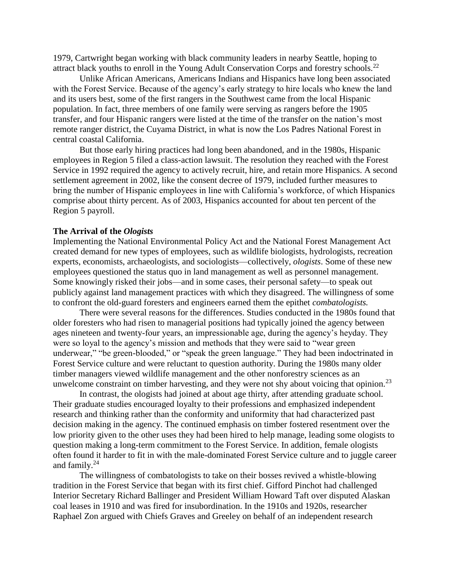1979, Cartwright began working with black community leaders in nearby Seattle, hoping to attract black youths to enroll in the Young Adult Conservation Corps and forestry schools.<sup>22</sup>

Unlike African Americans, Americans Indians and Hispanics have long been associated with the Forest Service. Because of the agency's early strategy to hire locals who knew the land and its users best, some of the first rangers in the Southwest came from the local Hispanic population. In fact, three members of one family were serving as rangers before the 1905 transfer, and four Hispanic rangers were listed at the time of the transfer on the nation's most remote ranger district, the Cuyama District, in what is now the Los Padres National Forest in central coastal California.

But those early hiring practices had long been abandoned, and in the 1980s, Hispanic employees in Region 5 filed a class-action lawsuit. The resolution they reached with the Forest Service in 1992 required the agency to actively recruit, hire, and retain more Hispanics. A second settlement agreement in 2002, like the consent decree of 1979, included further measures to bring the number of Hispanic employees in line with California's workforce, of which Hispanics comprise about thirty percent. As of 2003, Hispanics accounted for about ten percent of the Region 5 payroll.

### **The Arrival of the** *Ologists*

Implementing the National Environmental Policy Act and the National Forest Management Act created demand for new types of employees, such as wildlife biologists, hydrologists, recreation experts, economists, archaeologists, and sociologists—collectively, *ologists*. Some of these new employees questioned the status quo in land management as well as personnel management. Some knowingly risked their jobs—and in some cases, their personal safety—to speak out publicly against land management practices with which they disagreed. The willingness of some to confront the old-guard foresters and engineers earned them the epithet *combatologists.*

There were several reasons for the differences. Studies conducted in the 1980s found that older foresters who had risen to managerial positions had typically joined the agency between ages nineteen and twenty-four years, an impressionable age, during the agency's heyday. They were so loyal to the agency's mission and methods that they were said to "wear green underwear," "be green-blooded," or "speak the green language." They had been indoctrinated in Forest Service culture and were reluctant to question authority. During the 1980s many older timber managers viewed wildlife management and the other nonforestry sciences as an unwelcome constraint on timber harvesting, and they were not shy about voicing that opinion.<sup>23</sup>

In contrast, the ologists had joined at about age thirty, after attending graduate school. Their graduate studies encouraged loyalty to their professions and emphasized independent research and thinking rather than the conformity and uniformity that had characterized past decision making in the agency. The continued emphasis on timber fostered resentment over the low priority given to the other uses they had been hired to help manage, leading some ologists to question making a long-term commitment to the Forest Service. In addition, female ologists often found it harder to fit in with the male-dominated Forest Service culture and to juggle career and family.<sup>24</sup>

The willingness of combatologists to take on their bosses revived a whistle-blowing tradition in the Forest Service that began with its first chief. Gifford Pinchot had challenged Interior Secretary Richard Ballinger and President William Howard Taft over disputed Alaskan coal leases in 1910 and was fired for insubordination. In the 1910s and 1920s, researcher Raphael Zon argued with Chiefs Graves and Greeley on behalf of an independent research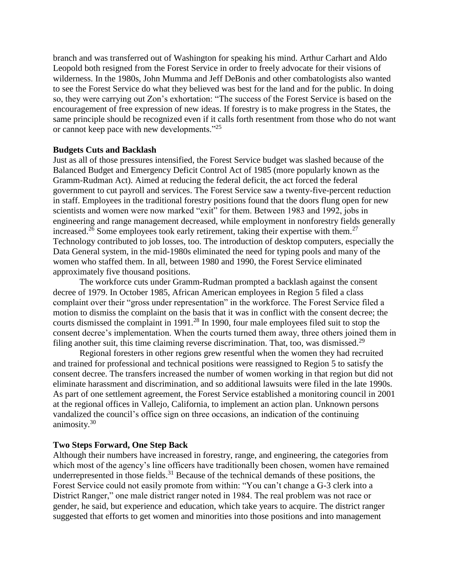branch and was transferred out of Washington for speaking his mind. Arthur Carhart and Aldo Leopold both resigned from the Forest Service in order to freely advocate for their visions of wilderness. In the 1980s, John Mumma and Jeff DeBonis and other combatologists also wanted to see the Forest Service do what they believed was best for the land and for the public. In doing so, they were carrying out Zon's exhortation: "The success of the Forest Service is based on the encouragement of free expression of new ideas. If forestry is to make progress in the States, the same principle should be recognized even if it calls forth resentment from those who do not want or cannot keep pace with new developments."<sup>25</sup>

## **Budgets Cuts and Backlash**

Just as all of those pressures intensified, the Forest Service budget was slashed because of the Balanced Budget and Emergency Deficit Control Act of 1985 (more popularly known as the Gramm-Rudman Act). Aimed at reducing the federal deficit, the act forced the federal government to cut payroll and services. The Forest Service saw a twenty-five-percent reduction in staff. Employees in the traditional forestry positions found that the doors flung open for new scientists and women were now marked "exit" for them. Between 1983 and 1992, jobs in engineering and range management decreased, while employment in nonforestry fields generally increased.<sup>26</sup> Some employees took early retirement, taking their expertise with them.<sup>27</sup> Technology contributed to job losses, too. The introduction of desktop computers, especially the Data General system, in the mid-1980s eliminated the need for typing pools and many of the women who staffed them. In all, between 1980 and 1990, the Forest Service eliminated approximately five thousand positions.

The workforce cuts under Gramm-Rudman prompted a backlash against the consent decree of 1979. In October 1985, African American employees in Region 5 filed a class complaint over their "gross under representation" in the workforce. The Forest Service filed a motion to dismiss the complaint on the basis that it was in conflict with the consent decree; the courts dismissed the complaint in 1991.<sup>28</sup> In 1990, four male employees filed suit to stop the consent decree's implementation. When the courts turned them away, three others joined them in filing another suit, this time claiming reverse discrimination. That, too, was dismissed.<sup>29</sup>

Regional foresters in other regions grew resentful when the women they had recruited and trained for professional and technical positions were reassigned to Region 5 to satisfy the consent decree. The transfers increased the number of women working in that region but did not eliminate harassment and discrimination, and so additional lawsuits were filed in the late 1990s. As part of one settlement agreement, the Forest Service established a monitoring council in 2001 at the regional offices in Vallejo, California, to implement an action plan. Unknown persons vandalized the council's office sign on three occasions, an indication of the continuing animosity.<sup>30</sup>

# **Two Steps Forward, One Step Back**

Although their numbers have increased in forestry, range, and engineering, the categories from which most of the agency's line officers have traditionally been chosen, women have remained underrepresented in those fields.<sup>31</sup> Because of the technical demands of these positions, the Forest Service could not easily promote from within: "You can't change a G-3 clerk into a District Ranger," one male district ranger noted in 1984. The real problem was not race or gender, he said, but experience and education, which take years to acquire. The district ranger suggested that efforts to get women and minorities into those positions and into management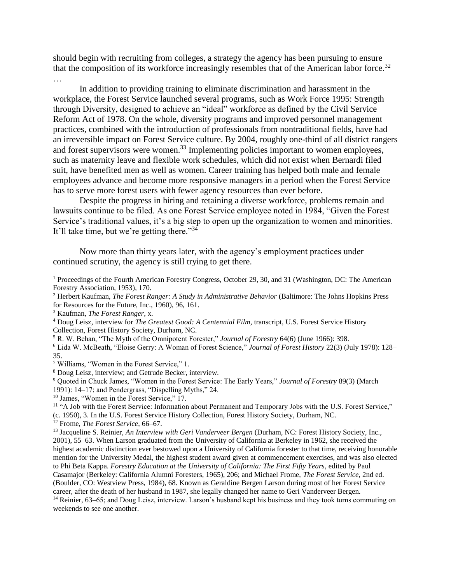should begin with recruiting from colleges, a strategy the agency has been pursuing to ensure that the composition of its workforce increasingly resembles that of the American labor force.<sup>32</sup>

…

In addition to providing training to eliminate discrimination and harassment in the workplace, the Forest Service launched several programs, such as Work Force 1995: Strength through Diversity, designed to achieve an "ideal" workforce as defined by the Civil Service Reform Act of 1978. On the whole, diversity programs and improved personnel management practices, combined with the introduction of professionals from nontraditional fields, have had an irreversible impact on Forest Service culture. By 2004, roughly one-third of all district rangers and forest supervisors were women.<sup>33</sup> Implementing policies important to women employees, such as maternity leave and flexible work schedules, which did not exist when Bernardi filed suit, have benefited men as well as women. Career training has helped both male and female employees advance and become more responsive managers in a period when the Forest Service has to serve more forest users with fewer agency resources than ever before.

Despite the progress in hiring and retaining a diverse workforce, problems remain and lawsuits continue to be filed. As one Forest Service employee noted in 1984, "Given the Forest Service's traditional values, it's a big step to open up the organization to women and minorities. It'll take time, but we're getting there."<sup>34</sup>

Now more than thirty years later, with the agency's employment practices under continued scrutiny, the agency is still trying to get there.

<sup>1</sup> Proceedings of the Fourth American Forestry Congress, October 29, 30, and 31 (Washington, DC: The American Forestry Association, 1953), 170.

<sup>2</sup> Herbert Kaufman, *The Forest Ranger: A Study in Administrative Behavior* (Baltimore: The Johns Hopkins Press for Resources for the Future, Inc., 1960), 96, 161.

<sup>3</sup> Kaufman, *The Forest Ranger*, x.

<sup>4</sup> Doug Leisz, interview for *The Greatest Good: A Centennial Film*, transcript, U.S. Forest Service History Collection, Forest History Society, Durham, NC.

<sup>5</sup> R. W. Behan, "The Myth of the Omnipotent Forester," *Journal of Forestry* 64(6) (June 1966): 398.

<sup>6</sup> Lida W. McBeath, "Eloise Gerry: A Woman of Forest Science," *Journal of Forest History* 22(3) (July 1978): 128– 35.

<sup>7</sup> Williams, "Women in the Forest Service," 1.

<sup>8</sup> Doug Leisz, interview; and Getrude Becker, interview.

<sup>9</sup> Quoted in Chuck James, "Women in the Forest Service: The Early Years," *Journal of Forestry* 89(3) (March

1991): 14–17; and Pendergrass, "Dispelling Myths," 24.

<sup>10</sup> James, "Women in the Forest Service," 17.

<sup>11</sup> "A Job with the Forest Service: Information about Permanent and Temporary Jobs with the U.S. Forest Service," (c. 1950), 3. In the U.S. Forest Service History Collection, Forest History Society, Durham, NC.

<sup>12</sup> Frome, *The Forest Service*, 66–67.

<sup>13</sup> Jacqueline S. Reinier, *An Interview with Geri Vanderveer Bergen* (Durham, NC: Forest History Society, Inc., 2001), 55–63. When Larson graduated from the University of California at Berkeley in 1962, she received the highest academic distinction ever bestowed upon a University of California forester to that time, receiving honorable mention for the University Medal, the highest student award given at commencement exercises, and was also elected to Phi Beta Kappa. *Forestry Education at the University of California: The First Fifty Years*, edited by Paul Casamajor (Berkeley: California Alumni Foresters, 1965), 206; and Michael Frome, *The Forest Service*, 2nd ed. (Boulder, CO: Westview Press, 1984), 68. Known as Geraldine Bergen Larson during most of her Forest Service career, after the death of her husband in 1987, she legally changed her name to Geri Vanderveer Bergen. <sup>14</sup> Reinier, 63–65; and Doug Leisz, interview. Larson's husband kept his business and they took turns commuting on weekends to see one another.